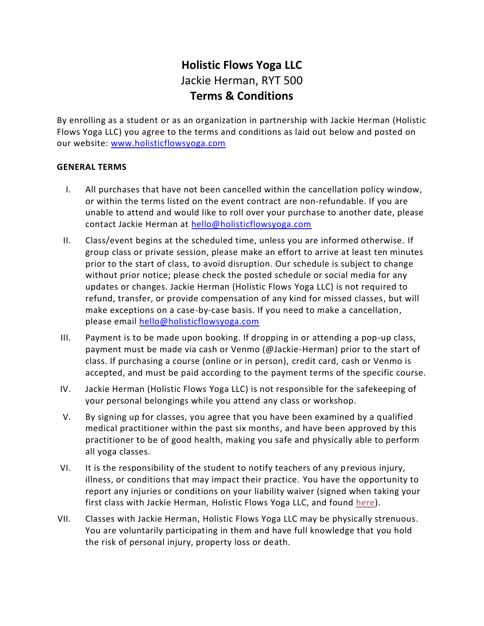# **Holistic Flows Yoga LLC** Jackie Herman, RYT 500 **Terms & Conditions**

By enrolling as a student or as an organization in partnership with Jackie Herman (Holistic Flows Yoga LLC) you agree to the terms and conditions as laid out below and posted on our website: [www.holisticflowsyoga.com](http://www.holisticflowsyoga.com/)

#### **GENERAL TERMS**

- I. All purchases that have not been cancelled within the cancellation policy window, or within the terms listed on the event contract are non-refundable. If you are unable to attend and would like to roll over your purchase to another date, please contact Jackie Herman at [hello@holisticflowsyoga.com](mailto:hello@holisticflowsyoga.com)
- II. Class/event begins at the scheduled time, unless you are informed otherwise. If group class or private session, please make an effort to arrive at least ten minutes prior to the start of class, to avoid disruption. Our schedule is subject to change without prior notice; please check the posted schedule or social media for any updates or changes. Jackie Herman (Holistic Flows Yoga LLC) is not required to refund, transfer, or provide compensation of any kind for missed classes, but will make exceptions on a case-by-case basis. If you need to make a cancellation, please email [hello@holisticflowsyoga.com](mailto:hello@holisticflowsyoga.com)
- III. Payment is to be made upon booking. If dropping in or attending a pop-up class, payment must be made via cash or Venmo (@Jackie-Herman) prior to the start of class. If purchasing a course (online or in person), credit card, cash or Venmo is accepted, and must be paid according to the payment terms of the specific course.
- IV. Jackie Herman (Holistic Flows Yoga LLC) is not responsible for the safekeeping of your personal belongings while you attend any class or workshop.
- V. By signing up for classes, you agree that you have been examined by a qualified medical practitioner within the past six months, and have been approved by this practitioner to be of good health, making you safe and physically able to perform all yoga classes.
- VI. It is the responsibility of the student to notify teachers of any previous injury, illness, or conditions that may impact their practice. You have the opportunity to report any injuries or conditions on your liability waiver (signed when taking your first class with Jackie Herman, Holistic Flows Yoga LLC, and found [here\)](https://www.holisticflowsyoga.com/liability-waiver).
- VII. Classes with Jackie Herman, Holistic Flows Yoga LLC may be physically strenuous. You are voluntarily participating in them and have full knowledge that you hold the risk of personal injury, property loss or death.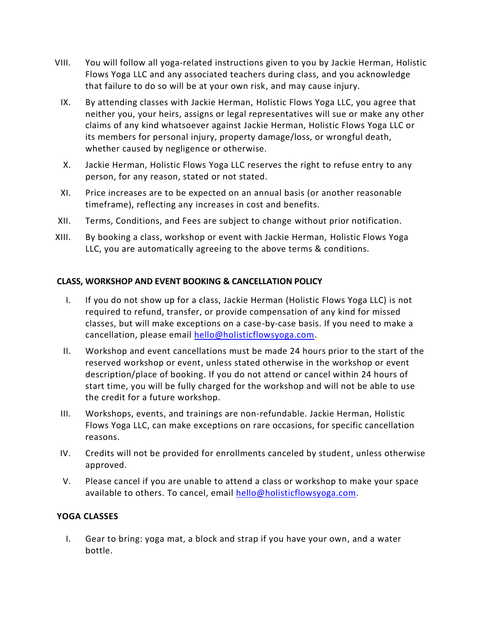- VIII. You will follow all yoga-related instructions given to you by Jackie Herman, Holistic Flows Yoga LLC and any associated teachers during class, and you acknowledge that failure to do so will be at your own risk, and may cause injury.
- IX. By attending classes with Jackie Herman, Holistic Flows Yoga LLC, you agree that neither you, your heirs, assigns or legal representatives will sue or make any other claims of any kind whatsoever against Jackie Herman, Holistic Flows Yoga LLC or its members for personal injury, property damage/loss, or wrongful death, whether caused by negligence or otherwise.
- X. Jackie Herman, Holistic Flows Yoga LLC reserves the right to refuse entry to any person, for any reason, stated or not stated.
- XI. Price increases are to be expected on an annual basis (or another reasonable timeframe), reflecting any increases in cost and benefits.
- XII. Terms, Conditions, and Fees are subject to change without prior notification.
- XIII. By booking a class, workshop or event with Jackie Herman, Holistic Flows Yoga LLC, you are automatically agreeing to the above terms & conditions.

#### **CLASS, WORKSHOP AND EVENT BOOKING & CANCELLATION POLICY**

- I. If you do not show up for a class, Jackie Herman (Holistic Flows Yoga LLC) is not required to refund, transfer, or provide compensation of any kind for missed classes, but will make exceptions on a case-by-case basis. If you need to make a cancellation, please email [hello@holisticflowsyoga.com.](mailto:hello@holisticflowsyoga.com)
- II. Workshop and event cancellations must be made 24 hours prior to the start of the reserved workshop or event, unless stated otherwise in the workshop or event description/place of booking. If you do not attend or cancel within 24 hours of start time, you will be fully charged for the workshop and will not be able to use the credit for a future workshop.
- III. Workshops, events, and trainings are non-refundable. Jackie Herman, Holistic Flows Yoga LLC, can make exceptions on rare occasions, for specific cancellation reasons.
- IV. Credits will not be provided for enrollments canceled by student, unless otherwise approved.
- V. Please cancel if you are unable to attend a class or workshop to make your space available to others. To cancel, email [hello@holisticflowsyoga.com.](mailto:hello@holisticflowsyoga.com)

# **YOGA CLASSES**

I. Gear to bring: yoga mat, a block and strap if you have your own, and a water bottle.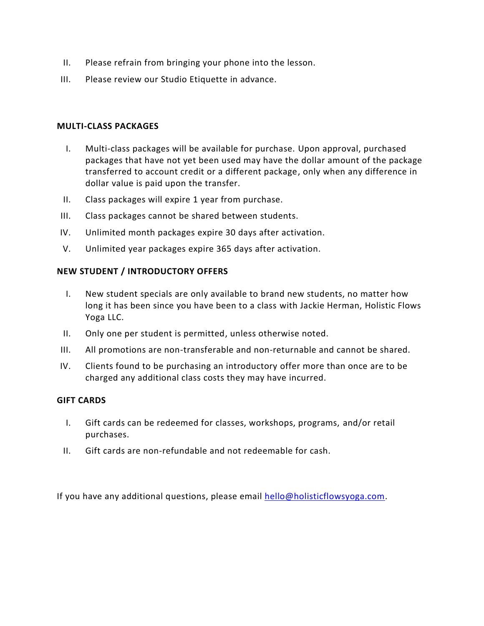- II. Please refrain from bringing your phone into the lesson.
- III. Please review our Studio Etiquette in advance.

#### **MULTI-CLASS PACKAGES**

- I. Multi-class packages will be available for purchase. Upon approval, purchased packages that have not yet been used may have the dollar amount of the package transferred to account credit or a different package, only when any difference in dollar value is paid upon the transfer.
- II. Class packages will expire 1 year from purchase.
- III. Class packages cannot be shared between students.
- IV. Unlimited month packages expire 30 days after activation.
- V. Unlimited year packages expire 365 days after activation.

#### **NEW STUDENT / INTRODUCTORY OFFERS**

- I. New student specials are only available to brand new students, no matter how long it has been since you have been to a class with Jackie Herman, Holistic Flows Yoga LLC.
- II. Only one per student is permitted, unless otherwise noted.
- III. All promotions are non-transferable and non-returnable and cannot be shared.
- IV. Clients found to be purchasing an introductory offer more than once are to be charged any additional class costs they may have incurred.

#### **GIFT CARDS**

- I. Gift cards can be redeemed for classes, workshops, programs, and/or retail purchases.
- II. Gift cards are non-refundable and not redeemable for cash.

If you have any additional questions, please email [hello@holisticflowsyoga.com.](mailto:hello@holisticflowsyoga.com)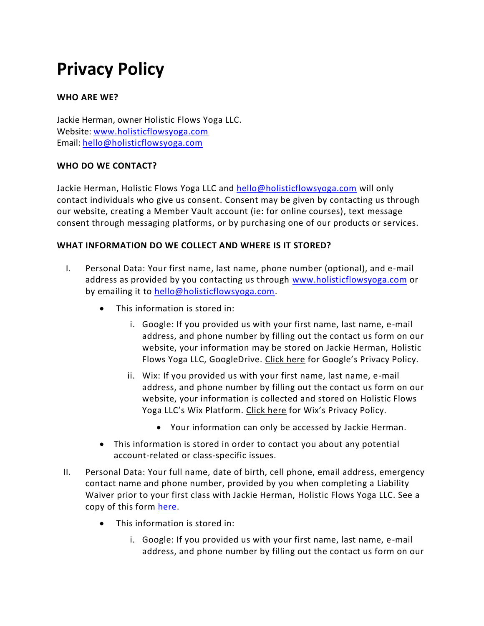# **Privacy Policy**

# **WHO ARE WE?**

Jackie Herman, owner Holistic Flows Yoga LLC. Website: [www.holisticflowsyoga.com](http://www.holisticflowsyoga.com/) Email: [hello@holisticflowsyoga.com](mailto:hello@holisticflowsyoga.com)

# **WHO DO WE CONTACT?**

Jackie Herman, Holistic Flows Yoga LLC and [hello@holisticflowsyoga.com](mailto:hello@holisticflowsyoga.com) will only contact individuals who give us consent. Consent may be given by contacting us through our website, creating a Member Vault account (ie: for online courses), text message consent through messaging platforms, or by purchasing one of our products or services.

# **WHAT INFORMATION DO WE COLLECT AND WHERE IS IT STORED?**

- I. Personal Data: Your first name, last name, phone number (optional), and e-mail address as provided by you contacting us through [www.holisticflowsyoga.com](http://www.holisticflowsyoga.com/) or by emailing it to [hello@holisticflowsyoga.com.](mailto:hello@holisticflowsyoga.com)
	- This information is stored in:
		- i. Google: If you provided us with your first name, last name, e-mail address, and phone number by filling out the contact us form on our website, your information may be stored on Jackie Herman, Holistic Flows Yoga LLC, GoogleDrive. [Click here](https://policies.google.com/privacy) for Google's Privacy Policy.
		- ii. Wix: If you provided us with your first name, last name, e-mail address, and phone number by filling out the contact us form on our website, your information is collected and stored on Holistic Flows Yoga LLC's Wix Platform. [Click here](https://www.wix.com/about/privacy) for Wix's Privacy Policy.
			- Your information can only be accessed by Jackie Herman.
	- This information is stored in order to contact you about any potential account-related or class-specific issues.
- II. Personal Data: Your full name, date of birth, cell phone, email address, emergency contact name and phone number, provided by you when completing a Liability Waiver prior to your first class with Jackie Herman, Holistic Flows Yoga LLC. See a copy of this form [here.](https://www.holisticflowsyoga.com/liability-waiver)
	- This information is stored in:
		- i. Google: If you provided us with your first name, last name, e-mail address, and phone number by filling out the contact us form on our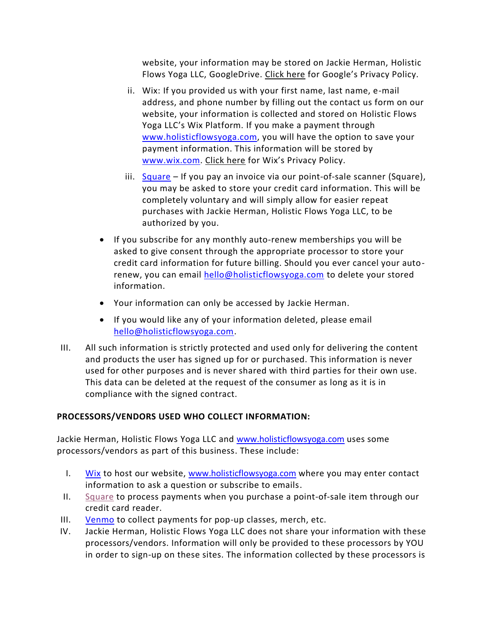website, your information may be stored on Jackie Herman, Holistic Flows Yoga LLC, GoogleDrive. [Click here](https://policies.google.com/privacy) for Google's Privacy Policy.

- ii. Wix: If you provided us with your first name, last name, e-mail address, and phone number by filling out the contact us form on our website, your information is collected and stored on Holistic Flows Yoga LLC's Wix Platform. If you make a payment through [www.holisticflowsyoga.com,](http://www.holisticflowsyoga.com/) you will have the option to save your payment information. This information will be stored by [www.wix.com.](http://www.wix.com/) [Click here](https://www.wix.com/about/privacy) for Wix's Privacy Policy.
- iii. [Square](https://squareup.com/us/en) If you pay an invoice via our point-of-sale scanner (Square), you may be asked to store your credit card information. This will be completely voluntary and will simply allow for easier repeat purchases with Jackie Herman, Holistic Flows Yoga LLC, to be authorized by you.
- If you subscribe for any monthly auto-renew memberships you will be asked to give consent through the appropriate processor to store your credit card information for future billing. Should you ever cancel your autorenew, you can email [hello@holisticflowsyoga.com](mailto:hello@holisticflowsyoga.com) to delete your stored information.
- Your information can only be accessed by Jackie Herman.
- If you would like any of your information deleted, please email [hello@holisticflowsyoga.com.](mailto:hello@holisticflowsyoga.com)
- III. All such information is strictly protected and used only for delivering the content and products the user has signed up for or purchased. This information is never used for other purposes and is never shared with third parties for their own use. This data can be deleted at the request of the consumer as long as it is in compliance with the signed contract.

# **PROCESSORS/VENDORS USED WHO COLLECT INFORMATION:**

Jackie Herman, Holistic Flows Yoga LLC and [www.holisticflowsyoga.com](http://www.holisticflowsyoga.com/) uses some processors/vendors as part of this business. These include:

- I. [Wix](https://www.wix.com/about/privacy) to host our website, [www.holisticflowsyoga.com](http://www.holisticflowsyoga.com/) where you may enter contact information to ask a question or subscribe to emails.
- II. [Square](https://squareup.com/us/en/legal/general/privacy) to process payments when you purchase a point-of-sale item through our credit card reader.
- III. [Venmo](https://venmo.com/legal/us-privacy-policy/) to collect payments for pop-up classes, merch, etc.
- IV. Jackie Herman, Holistic Flows Yoga LLC does not share your information with these processors/vendors. Information will only be provided to these processors by YOU in order to sign-up on these sites. The information collected by these processors is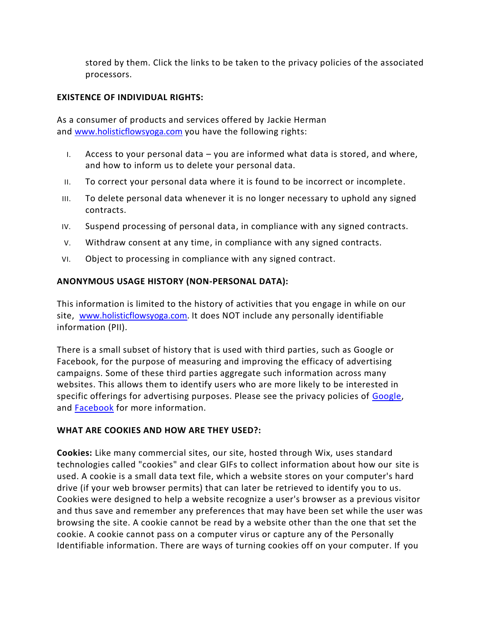stored by them. Click the links to be taken to the privacy policies of the associated processors.

### **EXISTENCE OF INDIVIDUAL RIGHTS:**

As a consumer of products and services offered by Jackie Herman and [www.holisticflowsyoga.com](http://www.holisticflowsyoga.com/) you have the following rights:

- I. Access to your personal data you are informed what data is stored, and where, and how to inform us to delete your personal data.
- II. To correct your personal data where it is found to be incorrect or incomplete.
- III. To delete personal data whenever it is no longer necessary to uphold any signed contracts.
- IV. Suspend processing of personal data, in compliance with any signed contracts.
- V. Withdraw consent at any time, in compliance with any signed contracts.
- VI. Object to processing in compliance with any signed contract.

#### **ANONYMOUS USAGE HISTORY (NON-PERSONAL DATA):**

This information is limited to the history of activities that you engage in while on our site, [www.holisticflowsyoga.com.](http://www.holisticflowsyoga.com/) It does NOT include any personally identifiable information (PII).

There is a small subset of history that is used with third parties, such as Google or Facebook, for the purpose of measuring and improving the efficacy of advertising campaigns. Some of these third parties aggregate such information across many websites. This allows them to identify users who are more likely to be interested in specific offerings for advertising purposes. Please see the privacy policies of [Google,](https://policies.google.com/privacy) and [Facebook](https://www.facebook.com/policy.php) for more information.

#### **WHAT ARE COOKIES AND HOW ARE THEY USED?:**

**Cookies:** Like many commercial sites, our site, hosted through Wix, uses standard technologies called "cookies" and clear GIFs to collect information about how our site is used. A cookie is a small data text file, which a website stores on your computer's hard drive (if your web browser permits) that can later be retrieved to identify you to us. Cookies were designed to help a website recognize a user's browser as a previous visitor and thus save and remember any preferences that may have been set while the user was browsing the site. A cookie cannot be read by a website other than the one that set the cookie. A cookie cannot pass on a computer virus or capture any of the Personally Identifiable information. There are ways of turning cookies off on your computer. If you